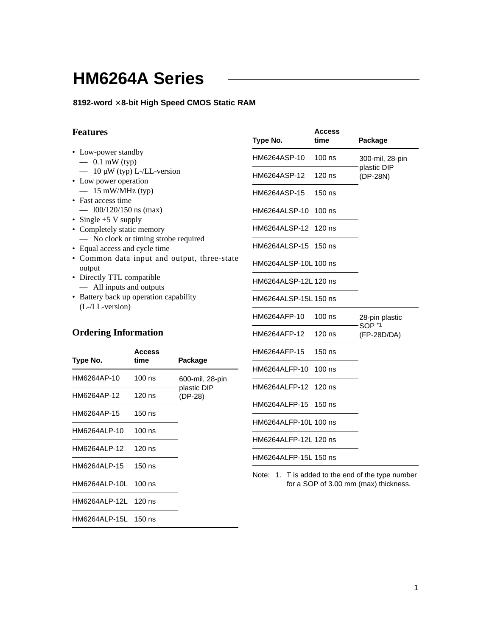# **HM6264A Series**

### **8192-word** × **8-bit High Speed CMOS Static RAM**

## **Features**

| <b>Features</b>                                                                                                          | Type No.                                       | <b>Access</b><br>time | Package                             |  |  |
|--------------------------------------------------------------------------------------------------------------------------|------------------------------------------------|-----------------------|-------------------------------------|--|--|
| • Low-power standby<br>$-0.1$ mW (typ)                                                                                   | HM6264ASP-10                                   | $100$ ns              | 300-mil, 28-pin                     |  |  |
| $-10 \mu W$ (typ) L-/LL-version<br>• Low power operation                                                                 | HM6264ASP-12                                   | 120 ns                | plastic DIP<br>(DP-28N)             |  |  |
| $- 15$ mW/MHz (typ)<br>• Fast access time                                                                                | HM6264ASP-15                                   | $150$ ns              |                                     |  |  |
| $-$ 100/120/150 ns (max)<br>• Single $+5$ V supply<br>• Completely static memory<br>- No clock or timing strobe required | HM6264ALSP-10 100 ns                           |                       |                                     |  |  |
|                                                                                                                          | HM6264ALSP-12 120 ns                           |                       |                                     |  |  |
| • Equal access and cycle time<br>• Common data input and output, three-state                                             | HM6264ALSP-15 150 ns                           |                       |                                     |  |  |
| output<br>• Directly TTL compatible                                                                                      | HM6264ALSP-10L 100 ns                          |                       |                                     |  |  |
| — All inputs and outputs<br>• Battery back up operation capability                                                       | HM6264ALSP-12L 120 ns<br>HM6264ALSP-15L 150 ns |                       |                                     |  |  |
| $(L-LL-version)$                                                                                                         | HM6264AFP-10                                   | $100$ ns              | 28-pin plastic                      |  |  |
| Ordering Information                                                                                                     | UMCOCANED 10                                   | 100 no                | SOP <sup>*1</sup><br>$(TD \cap TD)$ |  |  |

## **Ordering Information**

| Type No.             | Access<br>time | Package                |
|----------------------|----------------|------------------------|
| HM6264AP-10          | $100$ ns       | 600-mil, 28-pin        |
| HM6264AP-12          | 120 ns         | plastic DIP<br>(DP-28) |
| HM6264AP-15          | 150 ns         |                        |
| HM6264ALP-10         | $100$ ns       |                        |
| HM6264ALP-12 120 ns  |                |                        |
| HM6264ALP-15         | $150$ ns       |                        |
| HM6264ALP-10L 100 ns |                |                        |
| HM6264ALP-12L 120 ns |                |                        |
| HM6264ALP-15L 150 ns |                |                        |

| HM6264ASP-12 120 ns   |          | Plastic Dil<br>(DP-28N)             |
|-----------------------|----------|-------------------------------------|
| HM6264ASP-15          | $150$ ns |                                     |
| HM6264ALSP-10         | $100$ ns |                                     |
| HM6264ALSP-12         | 120 ns   |                                     |
| HM6264ALSP-15 150 ns  |          |                                     |
| HM6264ALSP-10L 100 ns |          |                                     |
| HM6264ALSP-12L 120 ns |          |                                     |
| HM6264ALSP-15L 150 ns |          |                                     |
| HM6264AFP-10          | $100$ ns | 28-pin plastic<br>SOP <sup>*1</sup> |
| HM6264AFP-12          | 120 ns   | (FP-28D/DA)                         |
| HM6264AFP-15          | $150$ ns |                                     |
| HM6264ALFP-10         | $100$ ns |                                     |
| HM6264ALFP-12         | 120 ns   |                                     |
| HM6264ALFP-15         | $150$ ns |                                     |
| HM6264ALFP-10L 100 ns |          |                                     |
| HM6264ALFP-12L 120 ns |          |                                     |
| HM6264ALFP-15L 150 ns |          |                                     |
|                       |          |                                     |

Note: 1. T is added to the end of the type number for a SOP of 3.00 mm (max) thickness.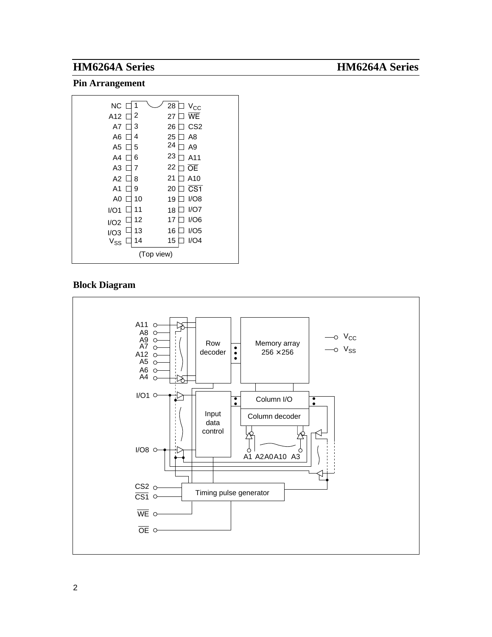### **Pin Arrangement**



### **Block Diagram**

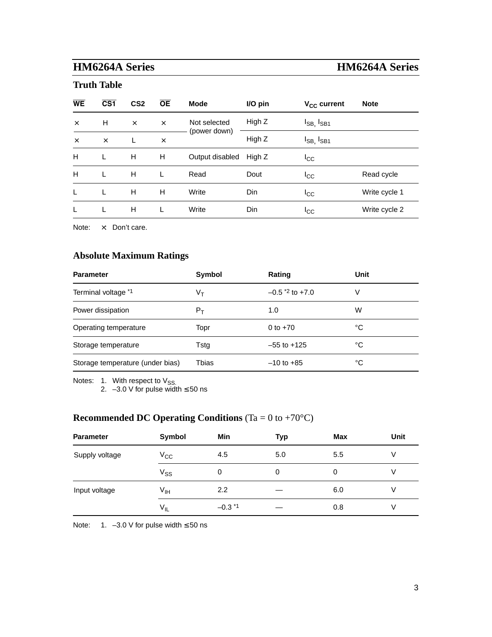**Truth Table**

| <b>WE</b> | $\overline{\text{CS1}}$ | CS <sub>2</sub> | <b>OE</b> | <b>Mode</b>     | I/O pin | $V_{CC}$ current     | <b>Note</b>   |
|-----------|-------------------------|-----------------|-----------|-----------------|---------|----------------------|---------------|
| $\times$  | H                       | $\times$        | $\times$  | Not selected    | High Z  | $I_{SB}$ , $I_{SB1}$ |               |
| $\times$  | $\times$                | $\mathbf{L}$    | $\times$  | (power down)    | High Z  | $I_{SB}$ , $I_{SB1}$ |               |
| H         | L                       | H               | н         | Output disabled | High Z  | ICC                  |               |
| H         |                         | Н               |           | Read            | Dout    | $_{\rm{lcc}}$        | Read cycle    |
| L         |                         | H               | н         | Write           | Din     | ICC                  | Write cycle 1 |
| L         |                         | Н               |           | Write           | Din     | $_{\rm{lcc}}$        | Write cycle 2 |
|           |                         |                 |           |                 |         |                      |               |

Note:  $\times$ : Don't care.

## **Absolute Maximum Ratings**

| <b>Parameter</b>                 | Symbol | Rating                       | Unit |
|----------------------------------|--------|------------------------------|------|
| Terminal voltage *1              | Vт     | $-0.5$ <sup>*2</sup> to +7.0 | V    |
| Power dissipation                | $P_T$  | 1.0                          | W    |
| Operating temperature            | Topr   | 0 to $+70$                   | °C   |
| Storage temperature              | Tstg   | $-55$ to $+125$              | °C   |
| Storage temperature (under bias) | Tbias  | $-10$ to $+85$               | °C   |

Notes:  $1.$  With respect to  $V_{SS}$ 

2. –3.0 V for pulse width ≤ 50 ns

## **Recommended DC Operating Conditions** (Ta = 0 to +70°C)

| <b>Parameter</b> | Symbol                     | Min         | <b>Typ</b> | Max | Unit |
|------------------|----------------------------|-------------|------------|-----|------|
| Supply voltage   | $\rm V_{CC}$               | 4.5         | 5.0        | 5.5 | V    |
|                  | $\mathsf{V}_{\mathsf{SS}}$ | 0           | 0          | 0   |      |
| Input voltage    | V <sub>IH</sub>            | 2.2         |            | 6.0 | V    |
|                  | $V_{IL}$                   | $-0.3$ $*1$ |            | 0.8 | V    |

Note: 1. –3.0 V for pulse width ≤ 50 ns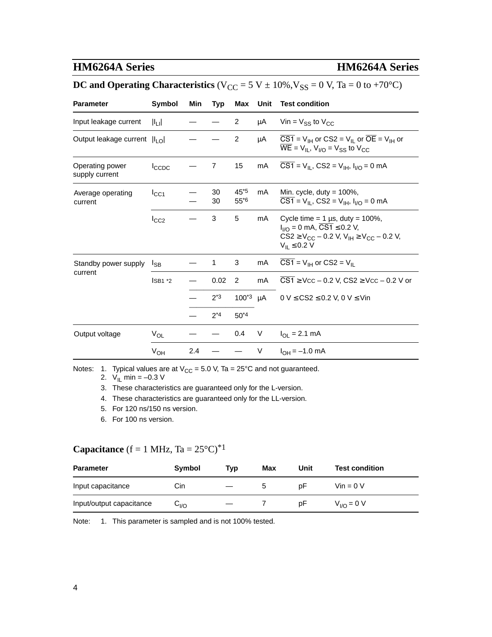## **DC and Operating Characteristics** ( $V_{CC} = 5 V \pm 10\%$ ,  $V_{SS} = 0 V$ , Ta = 0 to +70°C)

| <b>Parameter</b>                  | Symbol            | Min | Typ            | Max              | Unit | <b>Test condition</b>                                                                                                                                                                                   |
|-----------------------------------|-------------------|-----|----------------|------------------|------|---------------------------------------------------------------------------------------------------------------------------------------------------------------------------------------------------------|
| Input leakage current             | $   _{L}  $       |     |                | $\overline{2}$   | μA   | Vin = $V_{SS}$ to $V_{CC}$                                                                                                                                                                              |
| Output leakage current  ILO       |                   |     |                | $\overline{c}$   | μA   | $\overline{CS1}$ = V <sub>IH</sub> or CS2 = V <sub>II</sub> or $\overline{OE}$ = V <sub>IH</sub> or<br>$\overline{\text{WE}}$ = V <sub>IL</sub> , V <sub>I/O</sub> = V <sub>SS</sub> to V <sub>CC</sub> |
| Operating power<br>supply current | Icc <sub>DC</sub> |     | $\overline{7}$ | 15               | mA   | $CS1 = V_{\text{IL}}$ , $CS2 = V_{\text{IH}}$ , $I_{\text{I/O}} = 0$ mA                                                                                                                                 |
| Average operating<br>current      | $I_{CC1}$         |     | 30<br>30       | 45*5<br>$55^{6}$ | mA   | Min. cycle, duty = $100\%$ ,<br>$\overline{CS1} = V_{\vert L}$ , CS2 = V <sub>IH</sub> , $I_{\vert l}$ = 0 mA                                                                                           |
|                                   | $I_{CC2}$         |     | 3              | 5                | mA   | Cycle time = $1 \mu s$ , duty = $100\%$ ,<br>$I_{1/O} = 0$ mA, $\overline{CS1} \le 0.2$ V,<br>$CS2 \ge V_{CC} - 0.2$ V, $V_{IH} \ge V_{CC} - 0.2$ V,<br>$V_{II} \leq 0.2 V$                             |
| Standby power supply              | <sub>ISB</sub>    |     | 1              | 3                | mA   | $\overline{CS1}$ = V <sub>IH</sub> or $CS2 = V_{IL}$                                                                                                                                                    |
| current                           | $ISBN *2$         |     | 0.02           | 2                | mA   | $\overline{CS1}$ $\geq$ Vcc $-$ 0.2 V, CS2 $\geq$ Vcc $-$ 0.2 V or                                                                                                                                      |
|                                   |                   |     | $2^{*3}$       |                  |      | 100 <sup>*3</sup> $\mu$ A 0 V $\leq$ CS2 $\leq$ 0.2 V, 0 V $\leq$ Vin                                                                                                                                   |
|                                   |                   |     | $2*4$          | $50*4$           |      |                                                                                                                                                                                                         |
| Output voltage                    | $V_{OL}$          |     |                | 0.4              | V    | $I_{\text{OI}} = 2.1 \text{ mA}$                                                                                                                                                                        |
|                                   | V <sub>OH</sub>   | 2.4 |                |                  | V    | $I_{OH} = -1.0$ mA                                                                                                                                                                                      |

Notes: 1. Typical values are at  $V_{CC} = 5.0$  V, Ta = 25°C and not guaranteed.

2.  $V_{IL}$  min = -0.3 V

3. These characteristics are guaranteed only for the L-version.

4. These characteristics are guaranteed only for the LL-version.

- 5. For 120 ns/150 ns version.
- 6. For 100 ns version.

### **Capacitance**  $(f = 1 \text{ MHz}, T_a = 25^{\circ} \text{C})^*$ <sup>1</sup>

| <b>Parameter</b>         | Symbol         | Tvp | Max | Unit | <b>Test condition</b> |
|--------------------------|----------------|-----|-----|------|-----------------------|
| Input capacitance        | Cin            |     |     | рF   | $Vin = 0 V$           |
| Input/output capacitance | $\rm{C_{1/O}}$ |     |     | рF   | $V_{I/O} = 0 V$       |

Note: 1. This parameter is sampled and is not 100% tested.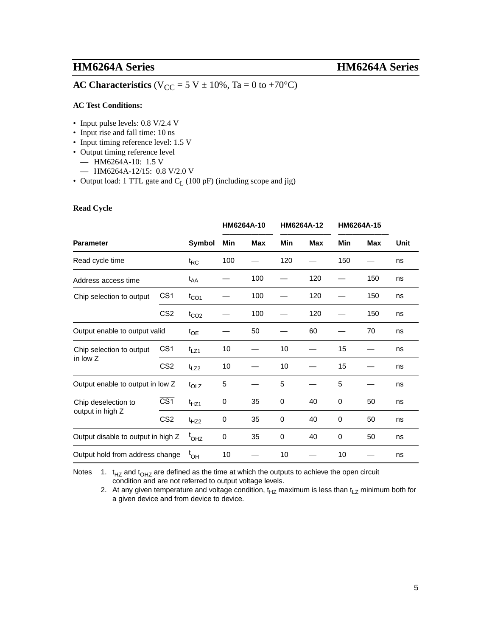## **AC Characteristics** ( $V_{CC} = 5 V \pm 10\%$ , Ta = 0 to +70°C)

### **AC Test Conditions:**

- Input pulse levels: 0.8 V/2.4 V
- Input rise and fall time: 10 ns
- Input timing reference level: 1.5 V
- Output timing reference level
	- HM6264A-10: 1.5 V
	- HM6264A-12/15: 0.8 V/2.0 V
- Output load: 1 TTL gate and  $C_L$  (100 pF) (including scope and jig)

### **Read Cycle**

|                                                     |                               |                  |           | HM6264A-10 |             | HM6264A-12 |     | HM6264A-15 |      |
|-----------------------------------------------------|-------------------------------|------------------|-----------|------------|-------------|------------|-----|------------|------|
| <b>Parameter</b>                                    |                               | Symbol           | Min       | <b>Max</b> | Min         | <b>Max</b> | Min | <b>Max</b> | Unit |
| Read cycle time                                     |                               | $t_{RC}$         | 100       |            | 120         |            | 150 |            | ns   |
| Address access time                                 |                               | t <sub>AA</sub>  |           | 100        |             | 120        |     | 150        | ns   |
| $\overline{\text{CS1}}$<br>Chip selection to output |                               | $t_{CO1}$        |           | 100        |             | 120        |     | 150        | ns   |
|                                                     | CS <sub>2</sub>               | $t_{CO2}$        |           | 100        |             | 120        |     | 150        | ns   |
|                                                     | Output enable to output valid |                  |           | 50         |             | 60         |     | 70         | ns   |
| Chip selection to output                            | $\overline{\text{CS1}}$       | $t_{LZ1}$        | 10        |            | 10          |            | 15  |            | ns   |
| in low Z                                            | CS <sub>2</sub>               | $t_{LZ2}$        | 10        |            | 10          |            | 15  |            | ns   |
| Output enable to output in low Z                    |                               | $t_{OLZ}$        | 5         |            | 5           |            | 5   |            | ns   |
| Chip deselection to                                 | $\overline{\text{CS1}}$       | $t_{HZ1}$        | $\pmb{0}$ | 35         | $\mathbf 0$ | 40         | 0   | 50         | ns   |
| output in high Z                                    | CS <sub>2</sub>               | $t_{HZ2}$        | 0         | 35         | 0           | 40         | 0   | 50         | ns   |
| Output disable to output in high Z                  |                               | OHZ <sup>'</sup> | 0         | 35         | 0           | 40         | 0   | 50         | ns   |
| Output hold from address change                     |                               | $^{\rm t}$ OH    | 10        |            | 10          |            | 10  |            | ns   |

Notes 1.  $t_{HZ}$  and  $t_{OHZ}$  are defined as the time at which the outputs to achieve the open circuit condition and are not referred to output voltage levels.

2. At any given temperature and voltage condition,  $t_{HZ}$  maximum is less than  $t_{LZ}$  minimum both for a given device and from device to device.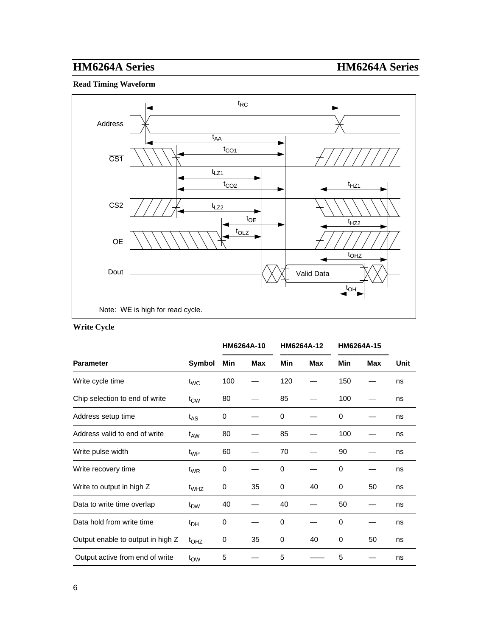### **Read Timing Waveform**



### **Write Cycle**

|                                   |                  | HM6264A-10 |            | HM6264A-12 |            | HM6264A-15 |     |      |  |
|-----------------------------------|------------------|------------|------------|------------|------------|------------|-----|------|--|
| <b>Parameter</b>                  | Symbol           | Min        | <b>Max</b> | Min        | <b>Max</b> | Min        | Max | Unit |  |
| Write cycle time                  | $t_{WC}$         | 100        |            | 120        |            | 150        |     | ns   |  |
| Chip selection to end of write    | $t_{\text{CW}}$  | 80         |            | 85         |            | 100        |     | ns   |  |
| Address setup time                | $t_{AS}$         | 0          |            | $\Omega$   |            | 0          |     | ns   |  |
| Address valid to end of write     | t <sub>AW</sub>  | 80         |            | 85         |            | 100        |     | ns   |  |
| Write pulse width                 | t <sub>WP</sub>  | 60         |            | 70         |            | 90         |     | ns   |  |
| Write recovery time               | $t_{WR}$         | 0          |            | $\Omega$   |            | 0          |     | ns   |  |
| Write to output in high Z         | t <sub>WHZ</sub> | 0          | 35         | 0          | 40         | 0          | 50  | ns   |  |
| Data to write time overlap        | t <sub>DW</sub>  | 40         |            | 40         |            | 50         |     | ns   |  |
| Data hold from write time         | t <sub>DH</sub>  | 0          |            | 0          |            | 0          |     | ns   |  |
| Output enable to output in high Z | $t_{OHZ}$        | 0          | 35         | 0          | 40         | 0          | 50  | ns   |  |
| Output active from end of write   | $t_{\text{OW}}$  | 5          |            | 5          |            | 5          |     | ns   |  |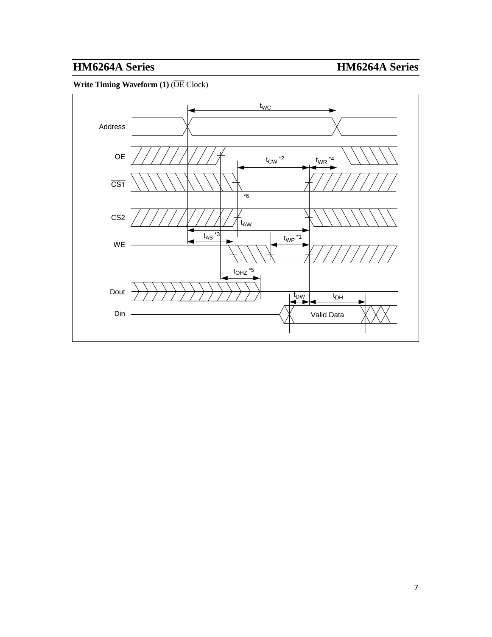**Write Timing Waveform (1)** (OE Clock)

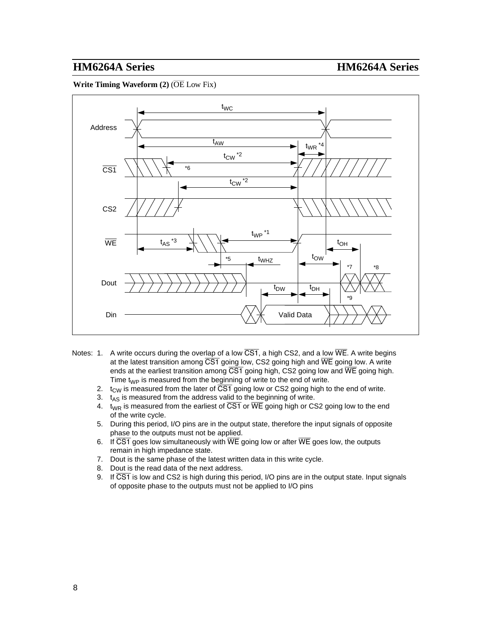**Write Timing Waveform (2) (OE Low Fix)** 



- Notes: 1. A write occurs during the overlap of a low  $\overline{CS1}$ , a high CS2, and a low  $\overline{WE}$ . A write begins at the latest transition among  $\overline{CS1}$  going low, CS2 going high and  $\overline{WE}$  going low. A write ends at the earliest transition among  $\overline{CS1}$  going high, CS2 going low and  $\overline{WE}$  going high. Time  $t_{WP}$  is measured from the beginning of write to the end of write.
	- 2.  $t_{\text{CW}}$  is measured from the later of  $\overline{\text{CS1}}$  going low or CS2 going high to the end of write.
	- 3.  $t_{AS}$  is measured from the address valid to the beginning of write.
	- 4. t<sub>WR</sub> is measured from the earliest of CS1 or WE going high or CS2 going low to the end of the write cycle.
	- 5. During this period, I/O pins are in the output state, therefore the input signals of opposite phase to the outputs must not be applied.
	- 6. If CS1 goes low simultaneously with WE going low or after WE goes low, the outputs remain in high impedance state.
	- 7. Dout is the same phase of the latest written data in this write cycle.
	- 8. Dout is the read data of the next address.
	- 9. If CS1 is low and CS2 is high during this period, I/O pins are in the output state. Input signals of opposite phase to the outputs must not be applied to I/O pins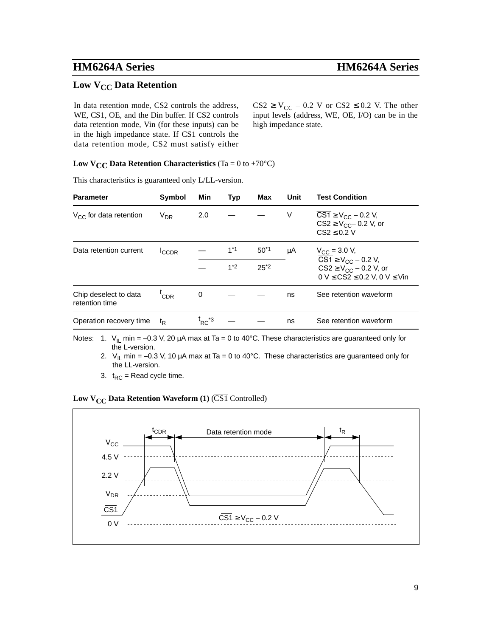## **Low V<sub>CC</sub> Data Retention**

In data retention mode, CS2 controls the address, WE, CS1, OE, and the Din buffer. If CS2 controls data retention mode, Vin (for these inputs) can be in the high impedance state. If CS1 controls the data retention mode, CS2 must satisfy either  $CS2 \ge V_{CC} - 0.2$  V or  $CS2 \le 0.2$  V. The other input levels (address, WE, OE, I/O) can be in the high impedance state.

### **Low**  $V_{CC}$  **Data Retention Characteristics** (Ta = 0 to +70 $^{\circ}$ C)

This characteristics is guaranteed only L/LL-version.

| <b>Parameter</b>                        | <b>Symbol</b>  | Min                                                                   | Typ   | Max                   | Unit | <b>Test Condition</b>                                                                                                                                  |
|-----------------------------------------|----------------|-----------------------------------------------------------------------|-------|-----------------------|------|--------------------------------------------------------------------------------------------------------------------------------------------------------|
| $V_{CC}$ for data retention             | $V_{DR}$       | 2.0                                                                   |       |                       | V    | $CS1 \ge V_{CC} - 0.2$ V,<br>$CS2 \ge V_{CC} - 0.2$ V, or<br>$CS2 \leq 0.2$ V                                                                          |
| Data retention current                  | <b>CCDR</b>    |                                                                       | $1*1$ | $50^{*}$ <sup>1</sup> | μA   | $V_{\rm CC}$ = 3.0 V,                                                                                                                                  |
|                                         |                |                                                                       | $1*2$ | $25*2$                |      | $\overline{CS1} \ge V_{CC} - 0.2$ V,<br>$CS2 \ge V_{CC} - 0.2$ V, or<br>$0 \text{ V} \leq \text{CS2} \leq 0.2 \text{ V}, 0 \text{ V} \leq \text{ Vin}$ |
| Chip deselect to data<br>retention time | 'CDR           | 0                                                                     |       |                       | ns   | See retention waveform                                                                                                                                 |
| Operation recovery time                 | t <sub>R</sub> | $\mathfrak{t}_{\mathsf{RC}}^{\phantom{\mathsf{R}\mathsf{R}}^{\ast}3}$ |       |                       | ns   | See retention waveform                                                                                                                                 |

Notes: 1.  $V_{\text{IL}}$  min = -0.3 V, 20 µA max at Ta = 0 to 40°C. These characteristics are guaranteed only for the L-version.

2.  $V_{II}$  min = –0.3 V, 10 µA max at Ta = 0 to 40°C. These characteristics are guaranteed only for the LL-version.

3.  $t_{RC}$  = Read cycle time.

### **Low V<sub>CC</sub> Data Retention Waveform (1) (CS1 Controlled)**